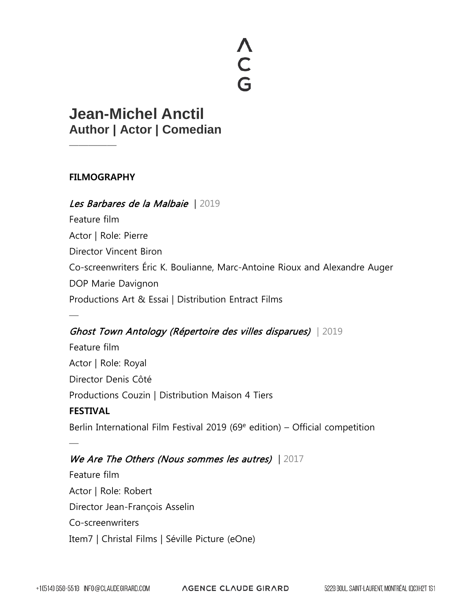# **<CG**

# **Jean-Michel Anctil Author | Actor | Comedian**

## **FILMOGRAPHY**

—————

—

—

## Les Barbares de la Malbaie | 2019

Feature film Actor | Role: Pierre Director Vincent Biron Co-screenwriters Éric K. Boulianne, Marc-Antoine Rioux and Alexandre Auger DOP Marie Davignon Productions Art & Essai | Distribution Entract Films

## Ghost Town Antology (Répertoire des villes disparues) | 2019

Feature film Actor | Role: Royal Director Denis Côté Productions Couzin | Distribution Maison 4 Tiers **FESTIVAL** Berlin International Film Festival 2019 (69 $e$  edition) – Official competition

## We Are The Others (Nous sommes les autres) | 2017

Feature film Actor | Role: Robert Director Jean-François Asselin Co-screenwriters Item7 | Christal Films | Séville Picture (eOne)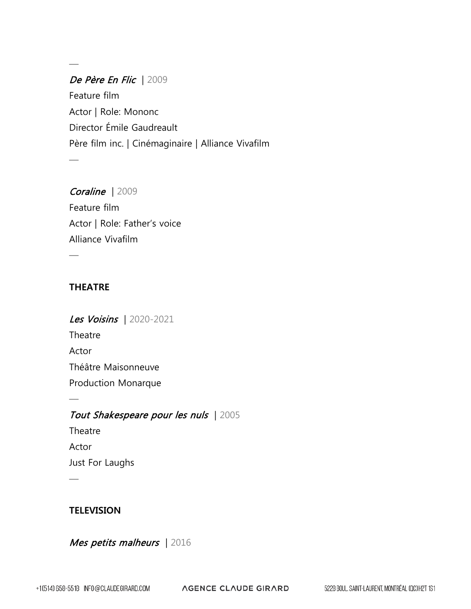## De Père En Flic | 2009 Feature film Actor | Role: Mononc Director Émile Gaudreault Père film inc. | Cinémaginaire | Alliance Vivafilm

## Coraline | 2009

—

—

Feature film Actor | Role: Father's voice Alliance Vivafilm

### **THEATRE**

—

—

—

Les Voisins | 2020-2021 **Theatre** Actor Théâtre Maisonneuve Production Monarque

## Tout Shakespeare pour les nuls | 2005

**Theatre** Actor Just For Laughs

## **TELEVISION**

Mes petits malheurs | 2016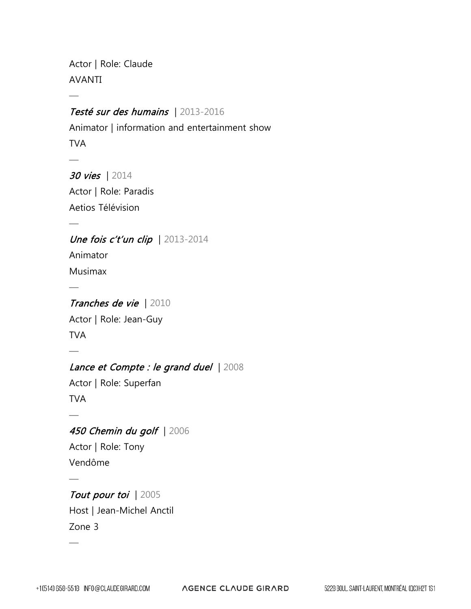Actor | Role: Claude AVANTI

—

—

—

—

—

—

—

—

## Testé sur des humains | 2013-2016

Animator | information and entertainment show TVA

30 vies | 2014 Actor | Role: Paradis Aetios Télévision

Une fois c't'un clip | 2013-2014 Animator

Musimax

## Tranches de vie | 2010

Actor | Role: Jean-Guy TVA

## Lance et Compte : le grand duel | 2008

Actor | Role: Superfan TVA

## 450 Chemin du golf | 2006

Actor | Role: Tony Vendôme

## Tout pour toi | 2005 Host | Jean-Michel Anctil Zone 3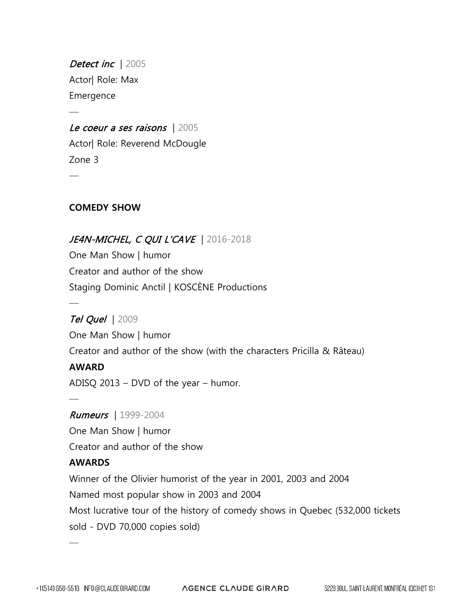Detect inc | 2005 Actor| Role: Max Emergence

—

—

## Le coeur a ses raisons | 2005

Actor| Role: Reverend McDougle Zone 3

## **COMEDY SHOW**

## JE4N-MICHEL, C QUI L'CAVE | 2016-2018

One Man Show | humor Creator and author of the show Staging Dominic Anctil | KOSCÈNE Productions

## **Tel Quel | 2009**

One Man Show | humor Creator and author of the show (with the characters Pricilla & Râteau)

#### **AWARD**

—

—

ADISQ 2013 – DVD of the year – humor.

#### Rumeurs | 1999-2004

One Man Show | humor Creator and author of the show

#### **AWARDS**

—

Winner of the Olivier humorist of the year in 2001, 2003 and 2004 Named most popular show in 2003 and 2004 Most lucrative tour of the history of comedy shows in Quebec (532,000 tickets sold - DVD 70,000 copies sold)